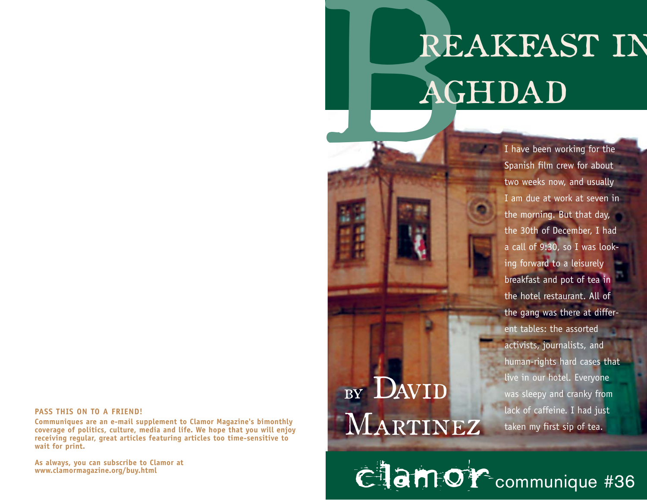# REAKFAST IN<br>AGHDAD

#### **PASS THIS ON TO A FRIEND!**

**Communiques are an e-mail supplement to Clamor Magazine's bimonthly coverage of politics, culture, media and life. We hope that you will enjoy receiving regular, great articles featuring articles too time-sensitive to wait for print.** 

**As always, you can subscribe to Clamor at www.clamormagazine.org/buy.html** 

## BY DAVID Martinez

I have been working for the Spanish film crew for about two weeks now, and usually I am due at work at seven in the morning. But that day, the 30th of December, I had a call of 9:30, so I was looking forward to a leisurely breakfast and pot of tea in the hotel restaurant. All of the gang was there at different tables: the assorted activists, journalists, and hu man-rights hard cases that live in our hotel. Everyone was sleepy and cranky from lack of caffeine. I had just taken my first sip of tea.

Clamor communique #36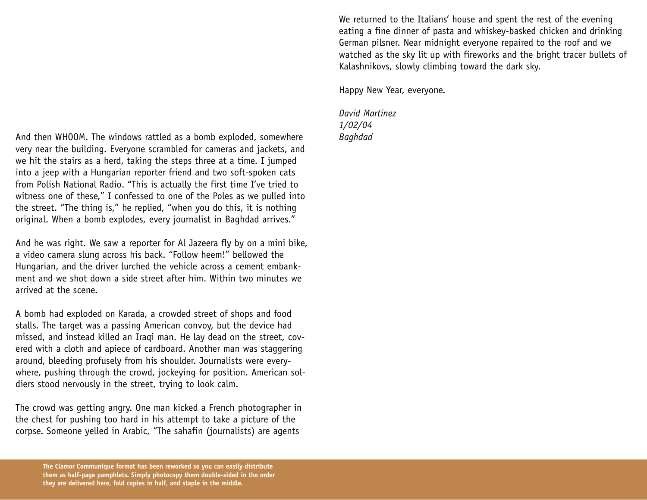And then WHOOM. The windows rattled as a bomb exploded, somewhere very near the building. Everyone scrambled for cameras and jackets, and we hit the stairs as a herd, taking the steps three at a time. I jumped into a jeep with a Hungarian reporter friend and two soft-spoken cats from Polish National Radio. "This is actually the first time I've tried to witness one of these," I confessed to one of the Poles as we pulled into the street. "The thing is," he replied, "when you do this, it is nothing original. When a bomb explodes, every journalist in Baghdad arrives."

And he was right. We saw a reporter for Al Jazeera fly by on a mini bike, a video camera slung across his back. "Follow heem!" bellowed the Hungarian, and the driver lurched the vehicle across a cement embankment and we shot down a side street after him. Within two minutes we arrived at the scene.

A bomb had exploded on Karada, a crowded street of shops and food stalls. The target was a passing American convoy, but the device had missed, and instead killed an Iraqi man. He lay dead on the street, covered with a cloth and apiece of cardboard. Another man was staggering around, bleeding profusely from his shoulder. Journalists were everywhere, pushing through the crowd, jockeying for position. American soldiers stood nervously in the street, trying to look calm.

The crowd was getting angry. One man kicked a French photographer in the chest for pushing too hard in his attempt to take a picture of the corpse. Someone yelled in Arabic, "The sahafin (journalists) are agents

We returned to the Italians' house and spent the rest of the evening eating a fine dinner of pasta and whiskey-basked chicken and drinking German pilsner. Near midnight everyone repaired to the roof and we watched as the sky lit up with fireworks and the bright tracer bullets of Kalashnikovs, slowly climbing toward the dark sky.

Happy New Year, everyone.

*David Martinez 1/02/04 Baghdad*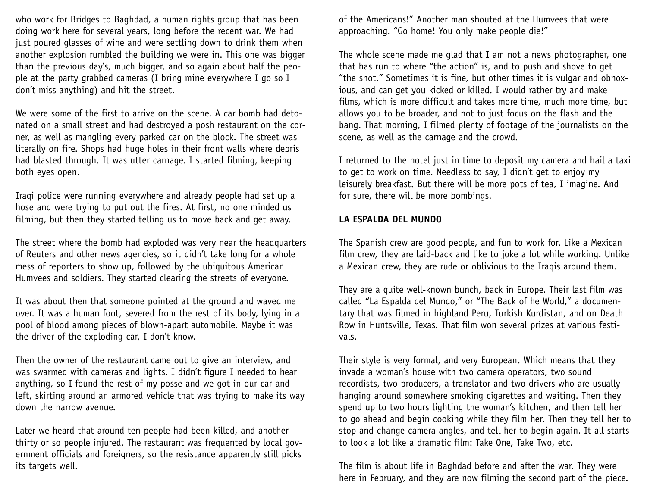who work for Bridges to Baghdad, a human rights group that has been doing work here for several years, long before the recent war. We had just poured glasses of wine and were settling down to drink them when another explosion rumbled the building we were in. This one was bigger than the previous day's, much bigger, and so again about half the people at the party grabbed cameras (I bring mine everywhere I go so I don't miss anything) and hit the street.

We were some of the first to arrive on the scene. A car bomb had detonated on a small street and had destroyed a posh restaurant on the corner, as well as mangling every parked car on the block. The street was literally on fire. Shops had huge holes in their front walls where debris had blasted through. It was utter carnage. I started filming, keeping both eyes open.

Iraqi police were running everywhere and already people had set up a hose and were trying to put out the fires. At first, no one minded us filming, but then they started telling us to move back and get away.

The street where the bomb had exploded was very near the headquarters of Reuters and other news agencies, so it didn't take long for a whole mess of reporters to show up, followed by the ubiquitous American Humvees and soldiers. They started clearing the streets of everyone.

It was about then that someone pointed at the ground and waved me over. It was a human foot, severed from the rest of its body, lying in a pool of blood among pieces of blown-apart automobile. Maybe it was the driver of the exploding car, I don't know.

Then the owner of the restaurant came out to give an interview, and was swarmed with cameras and lights. I didn't figure I needed to hear anything, so I found the rest of my posse and we got in our car and left, skirting around an armored vehicle that was trying to make its way down the narrow avenue.

Later we heard that around ten people had been killed, and another thirty or so people injured. The restaurant was frequented by local government officials and foreigners, so the resistance apparently still picks its targets well.

of the Americans!" Another man shouted at the Humvees that were approaching. "Go home! You only make people die!"

The whole scene made me glad that I am not a news photographer, one that has run to where "the action" is, and to push and shove to get "the shot." Sometimes it is fine, but other times it is vulgar and obnoxious, and can get you kicked or killed. I would rather try and make films, which is more difficult and takes more time, much more time, but allows you to be broader, and not to just focus on the flash and the bang. That morning, I filmed plenty of footage of the journalists on the scene, as well as the carnage and the crowd.

I returned to the hotel just in time to deposit my camera and hail a taxi to get to work on time. Needless to say, I didn't get to enjoy my leisurely breakfast. But there will be more pots of tea, I imagine. And for sure, there will be more bombings.

### **LA ESPALDA DEL MUNDO**

The Spanish crew are good people, and fun to work for. Like a Mexican film crew, they are laid-back and like to joke a lot while working. Unlike a Mexican crew, they are rude or oblivious to the Iraqis around them.

They are a quite well-known bunch, back in Europe. Their last film was called "La Espalda del Mundo," or "The Back of he World," a documentary that was filmed in highland Peru, Turkish Kurdistan, and on Death Row in Huntsville, Texas. That film won several prizes at various festivals.

Their style is very formal, and very European. Which means that they invade a woman's house with two camera operators, two sound recordists, two producers, a translator and two drivers who are usually hanging around somewhere smoking cigarettes and waiting. Then they spend up to two hours lighting the woman's kitchen, and then tell her to go ahead and begin cooking while they film her. Then they tell her to stop and change camera angles, and tell her to begin again. It all starts to look a lot like a dramatic film: Take One, Take Two, etc.

The film is about life in Baghdad before and after the war. They were here in February, and they are now filming the second part of the piece.